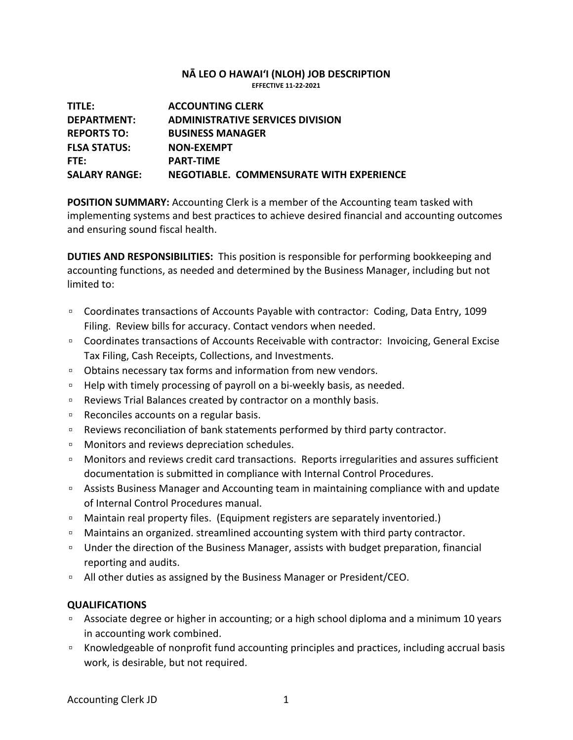## **NĀ LEO O HAWAIʻI (NLOH) JOB DESCRIPTION EFFECTIVE 11-22-2021**

| TITLE:               | <b>ACCOUNTING CLERK</b>                  |
|----------------------|------------------------------------------|
| <b>DEPARTMENT:</b>   | <b>ADMINISTRATIVE SERVICES DIVISION</b>  |
| <b>REPORTS TO:</b>   | <b>BUSINESS MANAGER</b>                  |
| <b>FLSA STATUS:</b>  | NON-EXEMPT                               |
| FTE:                 | <b>PART-TIME</b>                         |
| <b>SALARY RANGE:</b> | NEGOTIABLE. COMMENSURATE WITH EXPERIENCE |

**POSITION SUMMARY:** Accounting Clerk is a member of the Accounting team tasked with implementing systems and best practices to achieve desired financial and accounting outcomes and ensuring sound fiscal health.

**DUTIES AND RESPONSIBILITIES:** This position is responsible for performing bookkeeping and accounting functions, as needed and determined by the Business Manager, including but not limited to:

- Coordinates transactions of Accounts Payable with contractor: Coding, Data Entry, 1099 Filing. Review bills for accuracy. Contact vendors when needed.
- Coordinates transactions of Accounts Receivable with contractor: Invoicing, General Excise Tax Filing, Cash Receipts, Collections, and Investments.
- Obtains necessary tax forms and information from new vendors.
- Help with timely processing of payroll on a bi-weekly basis, as needed.
- □ Reviews Trial Balances created by contractor on a monthly basis.
- Reconciles accounts on a regular basis.
- Reviews reconciliation of bank statements performed by third party contractor.
- Monitors and reviews depreciation schedules.
- Monitors and reviews credit card transactions. Reports irregularities and assures sufficient documentation is submitted in compliance with Internal Control Procedures.
- Assists Business Manager and Accounting team in maintaining compliance with and update of Internal Control Procedures manual.
- Maintain real property files. (Equipment registers are separately inventoried.)
- □ Maintains an organized. streamlined accounting system with third party contractor.
- □ Under the direction of the Business Manager, assists with budget preparation, financial reporting and audits.
- □ All other duties as assigned by the Business Manager or President/CEO.

## **QUALIFICATIONS**

- □ Associate degree or higher in accounting; or a high school diploma and a minimum 10 years in accounting work combined.
- Knowledgeable of nonprofit fund accounting principles and practices, including accrual basis work, is desirable, but not required.